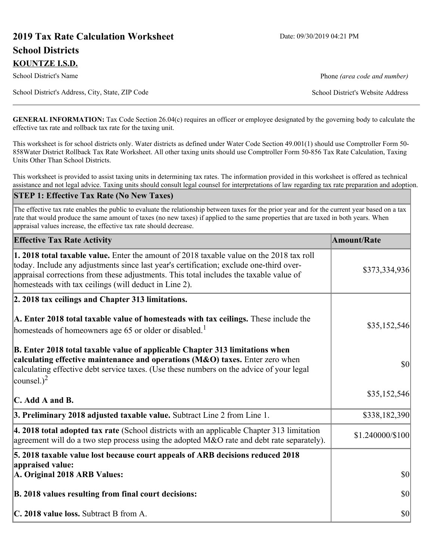# **2019 Tax Rate Calculation Worksheet** Date: 09/30/2019 04:21 PM **School Districts KOUNTZE I.S.D.**

School District's Name **Phone** *(area code and number)* Phone *(area code and number)* 

School District's Address, City, State, ZIP Code School District's Website Address

**GENERAL INFORMATION:** Tax Code Section 26.04(c) requires an officer or employee designated by the governing body to calculate the effective tax rate and rollback tax rate for the taxing unit.

This worksheet is for school districts only. Water districts as defined under Water Code Section 49.001(1) should use Comptroller Form 50- 858Water District Rollback Tax Rate Worksheet. All other taxing units should use Comptroller Form 50-856 Tax Rate Calculation, Taxing Units Other Than School Districts.

This worksheet is provided to assist taxing units in determining tax rates. The information provided in this worksheet is offered as technical assistance and not legal advice. Taxing units should consult legal counsel for interpretations of law regarding tax rate preparation and adoption.

#### **STEP 1: Effective Tax Rate (No New Taxes)**

The effective tax rate enables the public to evaluate the relationship between taxes for the prior year and for the current year based on a tax rate that would produce the same amount of taxes (no new taxes) if applied to the same properties that are taxed in both years. When appraisal values increase, the effective tax rate should decrease.

| <b>Effective Tax Rate Activity</b>                                                                                                                                                                                                                                                                                                            | <b>Amount/Rate</b> |  |
|-----------------------------------------------------------------------------------------------------------------------------------------------------------------------------------------------------------------------------------------------------------------------------------------------------------------------------------------------|--------------------|--|
| <b>1. 2018 total taxable value.</b> Enter the amount of 2018 taxable value on the 2018 tax roll<br>today. Include any adjustments since last year's certification; exclude one-third over-<br>appraisal corrections from these adjustments. This total includes the taxable value of<br>homesteads with tax ceilings (will deduct in Line 2). | \$373,334,936      |  |
| 2. 2018 tax ceilings and Chapter 313 limitations.                                                                                                                                                                                                                                                                                             |                    |  |
| A. Enter 2018 total taxable value of homesteads with tax ceilings. These include the<br>homesteads of homeowners age 65 or older or disabled. <sup>1</sup>                                                                                                                                                                                    | \$35,152,546       |  |
| B. Enter 2018 total taxable value of applicable Chapter 313 limitations when<br>calculating effective maintenance and operations (M&O) taxes. Enter zero when<br>calculating effective debt service taxes. (Use these numbers on the advice of your legal<br>counsel.) <sup>2</sup>                                                           | $ 10\rangle$       |  |
| C. Add A and B.                                                                                                                                                                                                                                                                                                                               | \$35,152,546       |  |
| 3. Preliminary 2018 adjusted taxable value. Subtract Line 2 from Line 1.                                                                                                                                                                                                                                                                      | \$338,182,390      |  |
| 4. 2018 total adopted tax rate (School districts with an applicable Chapter 313 limitation<br>agreement will do a two step process using the adopted M&O rate and debt rate separately).                                                                                                                                                      | \$1.240000/\$100   |  |
| 5. 2018 taxable value lost because court appeals of ARB decisions reduced 2018                                                                                                                                                                                                                                                                |                    |  |
| appraised value:<br>A. Original 2018 ARB Values:                                                                                                                                                                                                                                                                                              | $ 10\rangle$       |  |
| B. 2018 values resulting from final court decisions:                                                                                                                                                                                                                                                                                          | $ 10\rangle$       |  |
| C. 2018 value loss. Subtract B from A.                                                                                                                                                                                                                                                                                                        | $ 10\rangle$       |  |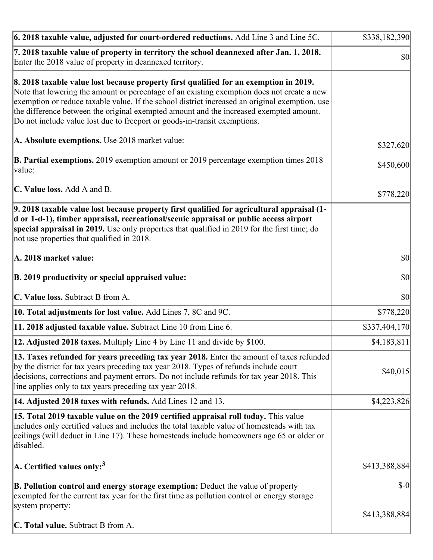| 6. 2018 taxable value, adjusted for court-ordered reductions. Add Line 3 and Line 5C.                                                                                                                                                                                                                                                                                                                                                                        | \$338,182,390 |
|--------------------------------------------------------------------------------------------------------------------------------------------------------------------------------------------------------------------------------------------------------------------------------------------------------------------------------------------------------------------------------------------------------------------------------------------------------------|---------------|
| 7. 2018 taxable value of property in territory the school deannexed after Jan. 1, 2018.<br>Enter the 2018 value of property in deannexed territory.                                                                                                                                                                                                                                                                                                          | <b>\$0</b>    |
| 8. 2018 taxable value lost because property first qualified for an exemption in 2019.<br>Note that lowering the amount or percentage of an existing exemption does not create a new<br>exemption or reduce taxable value. If the school district increased an original exemption, use<br>the difference between the original exempted amount and the increased exempted amount.<br>Do not include value lost due to freeport or goods-in-transit exemptions. |               |
| A. Absolute exemptions. Use 2018 market value:                                                                                                                                                                                                                                                                                                                                                                                                               | \$327,620     |
| <b>B. Partial exemptions.</b> 2019 exemption amount or 2019 percentage exemption times 2018<br>$\vert$ value:                                                                                                                                                                                                                                                                                                                                                | \$450,600     |
| C. Value loss. Add A and B.                                                                                                                                                                                                                                                                                                                                                                                                                                  | \$778,220     |
| 9. 2018 taxable value lost because property first qualified for agricultural appraisal (1-<br>d or 1-d-1), timber appraisal, recreational/scenic appraisal or public access airport<br>special appraisal in 2019. Use only properties that qualified in 2019 for the first time; do<br>not use properties that qualified in 2018.                                                                                                                            |               |
| A. 2018 market value:                                                                                                                                                                                                                                                                                                                                                                                                                                        | <b>\$0</b>    |
| B. 2019 productivity or special appraised value:                                                                                                                                                                                                                                                                                                                                                                                                             | \$0           |
| C. Value loss. Subtract B from A.                                                                                                                                                                                                                                                                                                                                                                                                                            | $ 10\rangle$  |
| 10. Total adjustments for lost value. Add Lines 7, 8C and 9C.                                                                                                                                                                                                                                                                                                                                                                                                | \$778,220     |
| 11. 2018 adjusted taxable value. Subtract Line 10 from Line 6.                                                                                                                                                                                                                                                                                                                                                                                               | \$337,404,170 |
| <b>12. Adjusted 2018 taxes.</b> Multiply Line 4 by Line 11 and divide by \$100.                                                                                                                                                                                                                                                                                                                                                                              | \$4,183,811   |
| [13. Taxes refunded for years preceding tax year 2018. Enter the amount of taxes refunded]<br>by the district for tax years preceding tax year 2018. Types of refunds include court<br>decisions, corrections and payment errors. Do not include refunds for tax year 2018. This<br>line applies only to tax years preceding tax year 2018.                                                                                                                  | \$40,015      |
| 14. Adjusted 2018 taxes with refunds. Add Lines 12 and 13.                                                                                                                                                                                                                                                                                                                                                                                                   | \$4,223,826   |
| 15. Total 2019 taxable value on the 2019 certified appraisal roll today. This value<br>includes only certified values and includes the total taxable value of homesteads with tax<br>ceilings (will deduct in Line 17). These homesteads include homeowners age 65 or older or<br>disabled.                                                                                                                                                                  |               |
| A. Certified values only: <sup>3</sup>                                                                                                                                                                                                                                                                                                                                                                                                                       | \$413,388,884 |
| <b>B. Pollution control and energy storage exemption:</b> Deduct the value of property<br>exempted for the current tax year for the first time as pollution control or energy storage<br>system property:                                                                                                                                                                                                                                                    | $S-0$         |
| <b>C. Total value.</b> Subtract B from A.                                                                                                                                                                                                                                                                                                                                                                                                                    | \$413,388,884 |
|                                                                                                                                                                                                                                                                                                                                                                                                                                                              |               |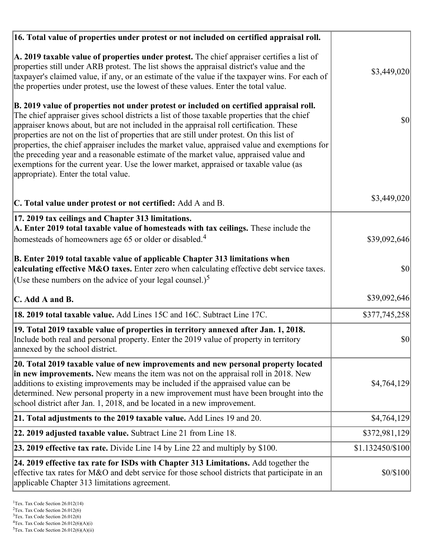| 16. Total value of properties under protest or not included on certified appraisal roll.                                                                                                                                                                                                                                                                                                                                                                                                                                                                                                                                                                                                                  |                  |
|-----------------------------------------------------------------------------------------------------------------------------------------------------------------------------------------------------------------------------------------------------------------------------------------------------------------------------------------------------------------------------------------------------------------------------------------------------------------------------------------------------------------------------------------------------------------------------------------------------------------------------------------------------------------------------------------------------------|------------------|
| A. 2019 taxable value of properties under protest. The chief appraiser certifies a list of<br>properties still under ARB protest. The list shows the appraisal district's value and the<br>taxpayer's claimed value, if any, or an estimate of the value if the taxpayer wins. For each of<br>the properties under protest, use the lowest of these values. Enter the total value.                                                                                                                                                                                                                                                                                                                        | \$3,449,020      |
| B. 2019 value of properties not under protest or included on certified appraisal roll.<br>The chief appraiser gives school districts a list of those taxable properties that the chief<br>appraiser knows about, but are not included in the appraisal roll certification. These<br>properties are not on the list of properties that are still under protest. On this list of<br>properties, the chief appraiser includes the market value, appraised value and exemptions for<br>the preceding year and a reasonable estimate of the market value, appraised value and<br>exemptions for the current year. Use the lower market, appraised or taxable value (as<br>appropriate). Enter the total value. | $ 10\rangle$     |
| C. Total value under protest or not certified: Add A and B.                                                                                                                                                                                                                                                                                                                                                                                                                                                                                                                                                                                                                                               | \$3,449,020      |
| 17. 2019 tax ceilings and Chapter 313 limitations.<br>A. Enter 2019 total taxable value of homesteads with tax ceilings. These include the<br>homesteads of homeowners age 65 or older or disabled. <sup>4</sup>                                                                                                                                                                                                                                                                                                                                                                                                                                                                                          | \$39,092,646     |
| B. Enter 2019 total taxable value of applicable Chapter 313 limitations when<br>calculating effective M&O taxes. Enter zero when calculating effective debt service taxes.<br>(Use these numbers on the advice of your legal counsel.) <sup>5</sup>                                                                                                                                                                                                                                                                                                                                                                                                                                                       | $ 10\rangle$     |
| C. Add A and B.                                                                                                                                                                                                                                                                                                                                                                                                                                                                                                                                                                                                                                                                                           | \$39,092,646     |
| 18. 2019 total taxable value. Add Lines 15C and 16C. Subtract Line 17C.                                                                                                                                                                                                                                                                                                                                                                                                                                                                                                                                                                                                                                   | \$377,745,258    |
| 19. Total 2019 taxable value of properties in territory annexed after Jan. 1, 2018.<br>Include both real and personal property. Enter the 2019 value of property in territory<br>annexed by the school district.                                                                                                                                                                                                                                                                                                                                                                                                                                                                                          | 30               |
| 20. Total 2019 taxable value of new improvements and new personal property located<br>in new improvements. New means the item was not on the appraisal roll in 2018. New<br>additions to existing improvements may be included if the appraised value can be<br>determined. New personal property in a new improvement must have been brought into the<br>school district after Jan. 1, 2018, and be located in a new improvement.                                                                                                                                                                                                                                                                        | \$4,764,129      |
| 21. Total adjustments to the 2019 taxable value. Add Lines 19 and 20.                                                                                                                                                                                                                                                                                                                                                                                                                                                                                                                                                                                                                                     | \$4,764,129      |
| <b>22. 2019 adjusted taxable value.</b> Subtract Line 21 from Line 18.                                                                                                                                                                                                                                                                                                                                                                                                                                                                                                                                                                                                                                    | \$372,981,129    |
| <b>23. 2019 effective tax rate.</b> Divide Line 14 by Line 22 and multiply by \$100.                                                                                                                                                                                                                                                                                                                                                                                                                                                                                                                                                                                                                      | \$1.132450/\$100 |
| 24. 2019 effective tax rate for ISDs with Chapter 313 Limitations. Add together the<br>effective tax rates for M&O and debt service for those school districts that participate in an<br>applicable Chapter 313 limitations agreement.                                                                                                                                                                                                                                                                                                                                                                                                                                                                    | \$0/\$100        |

<sup>&</sup>lt;sup>1</sup>Tex. Tax Code Section 26.012(14)

 $2$ Tex. Tax Code Section 26.012(6)

<sup>&</sup>lt;sup>3</sup>Tex. Tax Code Section 26.012(6)

 ${}^{4}$ Tex. Tax Code Section 26.012(6)(A)(i)

 $5$ Tex. Tax Code Section 26.012(6)(A)(ii)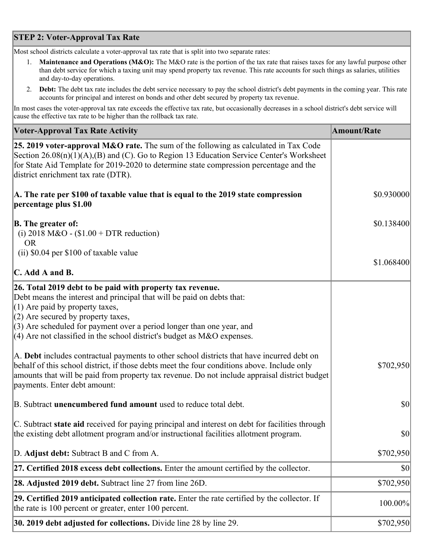## **STEP 2: Voter-Approval Tax Rate**

Most school districts calculate a voter-approval tax rate that is split into two separate rates:

- 1. **Maintenance and Operations (M&O):** The M&O rate is the portion of the tax rate that raises taxes for any lawful purpose other than debt service for which a taxing unit may spend property tax revenue. This rate accounts for such things as salaries, utilities and day-to-day operations.
- 2. **Debt:** The debt tax rate includes the debt service necessary to pay the school district's debt payments in the coming year. This rate accounts for principal and interest on bonds and other debt secured by property tax revenue.

In most cases the voter-approval tax rate exceeds the effective tax rate, but occasionally decreases in a school district's debt service will cause the effective tax rate to be higher than the rollback tax rate.

| <b>Voter-Approval Tax Rate Activity</b>                                                                                                                                                                                                                                                                                                                                  | <b>Amount/Rate</b> |
|--------------------------------------------------------------------------------------------------------------------------------------------------------------------------------------------------------------------------------------------------------------------------------------------------------------------------------------------------------------------------|--------------------|
| 25. 2019 voter-approval M&O rate. The sum of the following as calculated in Tax Code<br>Section 26.08(n)(1)(A),(B) and (C). Go to Region 13 Education Service Center's Worksheet<br>for State Aid Template for 2019-2020 to determine state compression percentage and the<br>district enrichment tax rate (DTR).                                                        |                    |
| A. The rate per \$100 of taxable value that is equal to the 2019 state compression<br>percentage plus \$1.00                                                                                                                                                                                                                                                             | \$0.930000         |
| <b>B.</b> The greater of:<br>(i) 2018 M&O - $$1.00 + DTR$ reduction)<br><b>OR</b>                                                                                                                                                                                                                                                                                        | \$0.138400         |
| (ii) \$0.04 per \$100 of taxable value                                                                                                                                                                                                                                                                                                                                   |                    |
| $\mathbf C$ . Add A and B.                                                                                                                                                                                                                                                                                                                                               | \$1.068400         |
| 26. Total 2019 debt to be paid with property tax revenue.<br>Debt means the interest and principal that will be paid on debts that:<br>$(1)$ Are paid by property taxes,<br>$(2)$ Are secured by property taxes,<br>$(3)$ Are scheduled for payment over a period longer than one year, and<br>$(4)$ Are not classified in the school district's budget as M&O expenses. |                    |
| A. Debt includes contractual payments to other school districts that have incurred debt on<br>behalf of this school district, if those debts meet the four conditions above. Include only<br>amounts that will be paid from property tax revenue. Do not include appraisal district budget<br>payments. Enter debt amount:                                               | \$702,950          |
| B. Subtract unencumbered fund amount used to reduce total debt.                                                                                                                                                                                                                                                                                                          | $ 10\rangle$       |
| C. Subtract state aid received for paying principal and interest on debt for facilities through<br>the existing debt allotment program and/or instructional facilities allotment program.                                                                                                                                                                                | \$0                |
| D. Adjust debt: Subtract B and C from A.                                                                                                                                                                                                                                                                                                                                 | \$702,950          |
| 27. Certified 2018 excess debt collections. Enter the amount certified by the collector.                                                                                                                                                                                                                                                                                 | \$0                |
| <b>28. Adjusted 2019 debt.</b> Subtract line 27 from line 26D.                                                                                                                                                                                                                                                                                                           | \$702,950          |
| 29. Certified 2019 anticipated collection rate. Enter the rate certified by the collector. If<br>the rate is 100 percent or greater, enter 100 percent.                                                                                                                                                                                                                  | 100.00%            |
| 30. 2019 debt adjusted for collections. Divide line 28 by line 29.                                                                                                                                                                                                                                                                                                       | \$702,950          |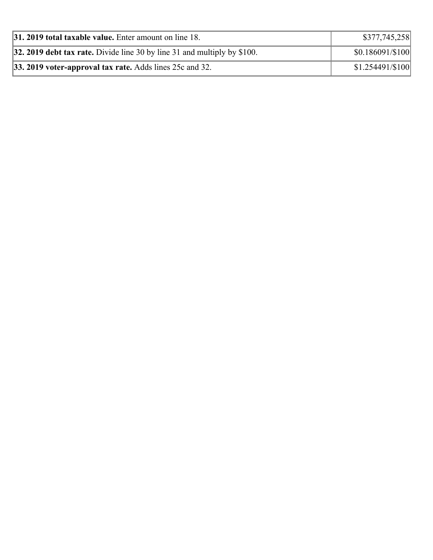| <b>31. 2019 total taxable value.</b> Enter amount on line 18.                   | \$377,745,258     |
|---------------------------------------------------------------------------------|-------------------|
| <b>32. 2019 debt tax rate.</b> Divide line 30 by line 31 and multiply by \$100. | \$0.186091/\$100  |
| <b>33. 2019 voter-approval tax rate.</b> Adds lines 25c and 32.                 | $$1.254491/\$100$ |